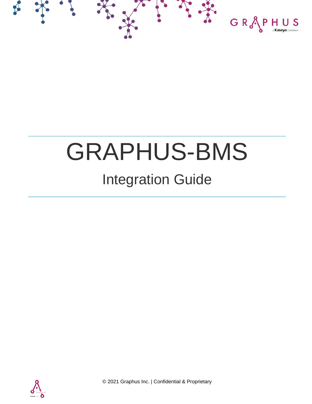

## GRAPHUS-BMS

## Integration Guide



© 2021 Graphus Inc. | Confidential & Proprietary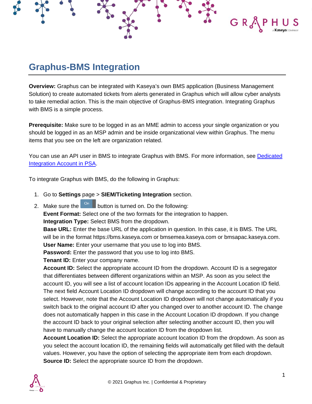## **Graphus-BMS Integration**

**Overview:** Graphus can be integrated with Kaseya's own BMS application (Business Management Solution) to create automated tickets from alerts generated in Graphus which will allow cyber analysts to take remedial action. This is the main objective of Graphus-BMS integration. Integrating Graphus with BMS is a simple process.

 $G R$ 

**Prerequisite:** Make sure to be logged in as an MME admin to access your single organization or you should be logged in as an MSP admin and be inside organizational view within Graphus. The menu items that you see on the left are organization related.

You can use an API user in BMS to integrate Graphus with BMS. For more information, see [Dedicated](https://helpdesk.kaseya.com/hc/en-gb/articles/360016897877-Dedicated-Integration-Account-in-PSA)  [Integration Account in PSA.](https://helpdesk.kaseya.com/hc/en-gb/articles/360016897877-Dedicated-Integration-Account-in-PSA)

To integrate Graphus with BMS, do the following in Graphus:

- 1. Go to **Settings** page > **SIEM/Ticketing Integration** section.
- 2. Make sure the  $\overline{\phantom{a}}^{\text{On}}$  button is turned on. Do the following:

**Event Format:** Select one of the two formats for the integration to happen.

**Integration Type:** Select BMS from the dropdown.

**Base URL:** Enter the base URL of the application in question. In this case, it is BMS. The URL will be in the format https://bms.kaseya.com or bmsemea.kaseya.com or bmsapac.kaseya.com. **User Name:** Enter your username that you use to log into BMS.

**Password:** Enter the password that you use to log into BMS.

**Tenant ID:** Enter your company name.

**Account ID:** Select the appropriate account ID from the dropdown. Account ID is a segregator that differentiates between different organizations within an MSP. As soon as you select the account ID, you will see a list of account location IDs appearing in the Account Location ID field. The next field Account Location ID dropdown will change according to the account ID that you select. However, note that the Account Location ID dropdown will not change automatically if you switch back to the original account ID after you changed over to another account ID. The change does not automatically happen in this case in the Account Location ID dropdown. If you change the account ID back to your original selection after selecting another account ID, then you will have to manually change the account location ID from the dropdown list.

**Account Location ID:** Select the appropriate account location ID from the dropdown. As soon as you select the account location ID, the remaining fields will automatically get filled with the default values. However, you have the option of selecting the appropriate item from each dropdown. **Source ID:** Select the appropriate source ID from the dropdown.

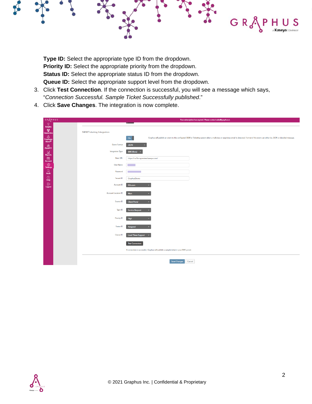**Type ID:** Select the appropriate type ID from the dropdown. **Priority ID:** Select the appropriate priority from the dropdown. **Status ID:** Select the appropriate status ID from the dropdown. **Queue ID:** Select the appropriate support level from the dropdown.

3. Click **Test Connection**. If the connection is successful, you will see a message which says, "*Connection Successful. Sample Ticket Successfully published*."

GR<sup>&</sup>

4. Click **Save Changes**. The integration is now complete.

| GRAPHUS                                                                                                                                                                                                                                                                                                                                             |                            | Your subscription has expired. Please contact sales@graphus.ai.                                                                                                                              |  |  |  |  |  |  |  |  |  |  |
|-----------------------------------------------------------------------------------------------------------------------------------------------------------------------------------------------------------------------------------------------------------------------------------------------------------------------------------------------------|----------------------------|----------------------------------------------------------------------------------------------------------------------------------------------------------------------------------------------|--|--|--|--|--|--|--|--|--|--|
| Ñ.<br>Insights                                                                                                                                                                                                                                                                                                                                      |                            |                                                                                                                                                                                              |  |  |  |  |  |  |  |  |  |  |
| 僾<br>Quarantine                                                                                                                                                                                                                                                                                                                                     | SIEM/Ticketing Integration |                                                                                                                                                                                              |  |  |  |  |  |  |  |  |  |  |
| ⚠<br>$E$ mployee<br>Shield®                                                                                                                                                                                                                                                                                                                         |                            | On<br>Graphus will publish an event to the configured SIEM or Ticketing system when a malicious or suspicious email is detected. Format of the event can either be JSON or detailed message. |  |  |  |  |  |  |  |  |  |  |
| $\begin{array}{c}\n\oplus \\ \oplus \\ \oplus\n\end{array}$ Phish911                                                                                                                                                                                                                                                                                | <b>Event Format</b>        | <b>JSON</b>                                                                                                                                                                                  |  |  |  |  |  |  |  |  |  |  |
| $\begin{picture}(20,20) \put(0,0){\line(1,0){15}} \put(15,0){\line(1,0){15}} \put(15,0){\line(1,0){15}} \put(15,0){\line(1,0){15}} \put(15,0){\line(1,0){15}} \put(15,0){\line(1,0){15}} \put(15,0){\line(1,0){15}} \put(15,0){\line(1,0){15}} \put(15,0){\line(1,0){15}} \put(15,0){\line(1,0){15}} \put(15,0){\line(1,0){15}} \put(15,0){\line(1$ | <b>Integration Type</b>    | <b>BMS</b> (Beta)<br>$\sim$                                                                                                                                                                  |  |  |  |  |  |  |  |  |  |  |
| 愿                                                                                                                                                                                                                                                                                                                                                   | <b>Base URL</b>            | https://na1bmspreview.kaseya.com/                                                                                                                                                            |  |  |  |  |  |  |  |  |  |  |
| <b>Account</b><br>ිට<br>Settings                                                                                                                                                                                                                                                                                                                    | <b>User Name</b>           | <b>Service Service</b>                                                                                                                                                                       |  |  |  |  |  |  |  |  |  |  |
| $\begin{array}{c} \hline \mathbb{Q} \\ \hline \end{array}$ Audit                                                                                                                                                                                                                                                                                    | Password                   |                                                                                                                                                                                              |  |  |  |  |  |  |  |  |  |  |
| $\circledcirc$<br>Help                                                                                                                                                                                                                                                                                                                              | <b>Tenant ID</b>           | GraphusDemo                                                                                                                                                                                  |  |  |  |  |  |  |  |  |  |  |
| $\mathbb B$<br>Logout                                                                                                                                                                                                                                                                                                                               | Account ID                 | fifth.com                                                                                                                                                                                    |  |  |  |  |  |  |  |  |  |  |
|                                                                                                                                                                                                                                                                                                                                                     | Account Location ID        | Main                                                                                                                                                                                         |  |  |  |  |  |  |  |  |  |  |
|                                                                                                                                                                                                                                                                                                                                                     |                            |                                                                                                                                                                                              |  |  |  |  |  |  |  |  |  |  |
|                                                                                                                                                                                                                                                                                                                                                     | Source ID                  | <b>Client Portal</b>                                                                                                                                                                         |  |  |  |  |  |  |  |  |  |  |
|                                                                                                                                                                                                                                                                                                                                                     | Type ID                    | <b>Service Request</b>                                                                                                                                                                       |  |  |  |  |  |  |  |  |  |  |
|                                                                                                                                                                                                                                                                                                                                                     | Priority ID                | High                                                                                                                                                                                         |  |  |  |  |  |  |  |  |  |  |
|                                                                                                                                                                                                                                                                                                                                                     |                            |                                                                                                                                                                                              |  |  |  |  |  |  |  |  |  |  |
|                                                                                                                                                                                                                                                                                                                                                     | Status ID                  | Assigned                                                                                                                                                                                     |  |  |  |  |  |  |  |  |  |  |
|                                                                                                                                                                                                                                                                                                                                                     | Queue ID                   | Level Three Support<br>ь                                                                                                                                                                     |  |  |  |  |  |  |  |  |  |  |
|                                                                                                                                                                                                                                                                                                                                                     |                            | <b>Test Connection</b>                                                                                                                                                                       |  |  |  |  |  |  |  |  |  |  |
|                                                                                                                                                                                                                                                                                                                                                     |                            | If connection is successful, Graphus will publish a sample ticket in your BMS portal.                                                                                                        |  |  |  |  |  |  |  |  |  |  |
|                                                                                                                                                                                                                                                                                                                                                     |                            |                                                                                                                                                                                              |  |  |  |  |  |  |  |  |  |  |
|                                                                                                                                                                                                                                                                                                                                                     |                            | <b>Save Changes</b><br>Cancel                                                                                                                                                                |  |  |  |  |  |  |  |  |  |  |
|                                                                                                                                                                                                                                                                                                                                                     |                            |                                                                                                                                                                                              |  |  |  |  |  |  |  |  |  |  |